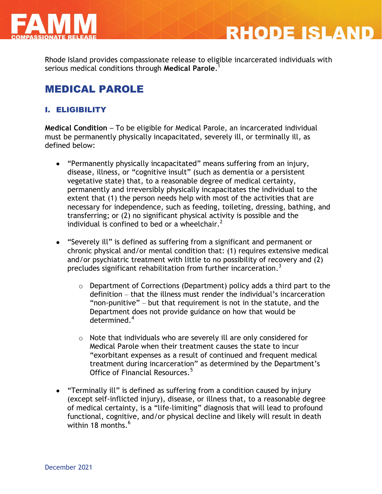

Rhode Island provides compassionate release to eligible incarcerated individuals with serious medical conditions through **Medical Parole**. 1

**RHODE ISLAND** 

# MEDICAL PAROLE

## I. ELIGIBILITY

**Medical Condition** – To be eligible for Medical Parole, an incarcerated individual must be permanently physically incapacitated, severely ill, or terminally ill, as defined below:

- "Permanently physically incapacitated" means suffering from an injury, disease, illness, or "cognitive insult" (such as dementia or a persistent vegetative state) that, to a reasonable degree of medical certainty, permanently and irreversibly physically incapacitates the individual to the extent that (1) the person needs help with most of the activities that are necessary for independence, such as feeding, toileting, dressing, bathing, and transferring; or (2) no significant physical activity is possible and the individual is confined to bed or a wheelchair.<sup>2</sup>
- "Severely ill" is defined as suffering from a significant and permanent or chronic physical and/or mental condition that: (1) requires extensive medical and/or psychiatric treatment with little to no possibility of recovery and (2) precludes significant rehabilitation from further incarceration.<sup>3</sup>
	- o Department of Corrections (Department) policy adds a third part to the definition – that the illness must render the individual's incarceration "non-punitive" – but that requirement is not in the statute, and the Department does not provide guidance on how that would be determined. 4
	- o Note that individuals who are severely ill are only considered for Medical Parole when their treatment causes the state to incur "exorbitant expenses as a result of continued and frequent medical treatment during incarceration" as determined by the Department's Office of Financial Resources.<sup>5</sup>
- "Terminally ill" is defined as suffering from a condition caused by injury (except self-inflicted injury), disease, or illness that, to a reasonable degree of medical certainty, is a "life-limiting" diagnosis that will lead to profound functional, cognitive, and/or physical decline and likely will result in death within 18 months. $6$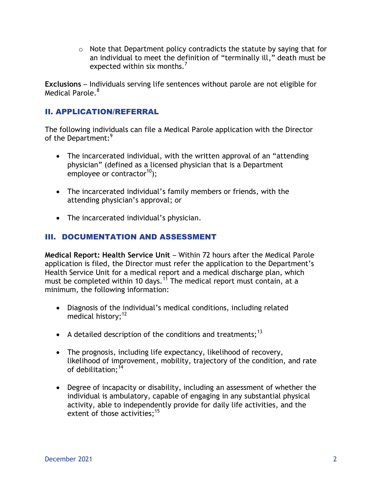$\circ$  Note that Department policy contradicts the statute by saying that for an individual to meet the definition of "terminally ill," death must be expected within six months. $<sup>7</sup>$ </sup>

**Exclusions** – Individuals serving life sentences without parole are not eligible for Medical Parole.<sup>8</sup>

### II. APPLICATION/REFERRAL

The following individuals can file a Medical Parole application with the Director of the Department:<sup>9</sup>

- The incarcerated individual, with the written approval of an "attending physician" (defined as a licensed physician that is a Department employee or contractor<sup>10</sup>);
- The incarcerated individual's family members or friends, with the attending physician's approval; or
- The incarcerated individual's physician.

## III. DOCUMENTATION AND ASSESSMENT

**Medical Report: Health Service Unit** – Within 72 hours after the Medical Parole application is filed, the Director must refer the application to the Department's Health Service Unit for a medical report and a medical discharge plan, which must be completed within 10 days.<sup>11</sup> The medical report must contain, at a minimum, the following information:

- Diagnosis of the individual's medical conditions, including related medical history;<sup>12</sup>
- A detailed description of the conditions and treatments;<sup>13</sup>
- The prognosis, including life expectancy, likelihood of recovery, likelihood of improvement, mobility, trajectory of the condition, and rate of debilitation; $^{14}$
- Degree of incapacity or disability, including an assessment of whether the individual is ambulatory, capable of engaging in any substantial physical activity, able to independently provide for daily life activities, and the extent of those activities;  $^{15}$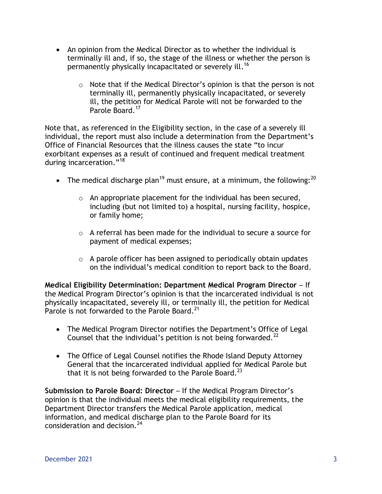- An opinion from the Medical Director as to whether the individual is terminally ill and, if so, the stage of the illness or whether the person is permanently physically incapacitated or severely ill.<sup>16</sup>
	- $\circ$  Note that if the Medical Director's opinion is that the person is not terminally ill, permanently physically incapacitated, or severely ill, the petition for Medical Parole will not be forwarded to the Parole Board.<sup>17</sup>

Note that, as referenced in the Eligibility section, in the case of a severely ill individual, the report must also include a determination from the Department's Office of Financial Resources that the illness causes the state "to incur exorbitant expenses as a result of continued and frequent medical treatment during incarceration."<sup>18</sup>

- The medical discharge plan<sup>19</sup> must ensure, at a minimum, the following:<sup>20</sup>
	- $\circ$  An appropriate placement for the individual has been secured, including (but not limited to) a hospital, nursing facility, hospice, or family home;
	- o A referral has been made for the individual to secure a source for payment of medical expenses;
	- $\circ$  A parole officer has been assigned to periodically obtain updates on the individual's medical condition to report back to the Board.

**Medical Eligibility Determination: Department Medical Program Director** – If the Medical Program Director's opinion is that the incarcerated individual is not physically incapacitated, severely ill, or terminally ill, the petition for Medical Parole is not forwarded to the Parole Board.<sup>21</sup>

- The Medical Program Director notifies the Department's Office of Legal Counsel that the individual's petition is not being forwarded.<sup>22</sup>
- The Office of Legal Counsel notifies the Rhode Island Deputy Attorney General that the incarcerated individual applied for Medical Parole but that it is not being forwarded to the Parole Board.<sup>23</sup>

**Submission to Parole Board: Director** – If the Medical Program Director's opinion is that the individual meets the medical eligibility requirements, the Department Director transfers the Medical Parole application, medical information, and medical discharge plan to the Parole Board for its consideration and decision.<sup>24</sup>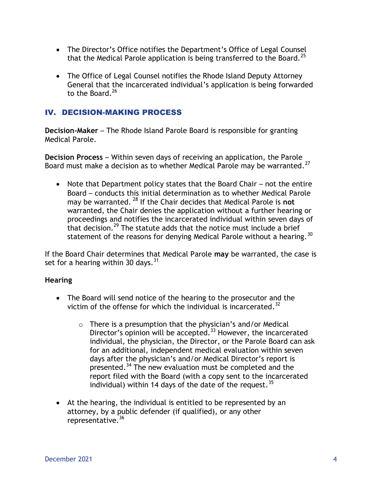- The Director's Office notifies the Department's Office of Legal Counsel that the Medical Parole application is being transferred to the Board.<sup>25</sup>
- The Office of Legal Counsel notifies the Rhode Island Deputy Attorney General that the incarcerated individual's application is being forwarded to the Board. $26$

### IV. DECISION-MAKING PROCESS

**Decision-Maker** – The Rhode Island Parole Board is responsible for granting Medical Parole.

**Decision Process** – Within seven days of receiving an application, the Parole Board must make a decision as to whether Medical Parole may be warranted.<sup>27</sup>

• Note that Department policy states that the Board Chair – not the entire Board – conducts this initial determination as to whether Medical Parole may be warranted. <sup>28</sup> If the Chair decides that Medical Parole is **not** warranted, the Chair denies the application without a further hearing or proceedings and notifies the incarcerated individual within seven days of that decision.<sup>29</sup> The statute adds that the notice must include a brief statement of the reasons for denying Medical Parole without a hearing.<sup>30</sup>

If the Board Chair determines that Medical Parole **may** be warranted, the case is set for a hearing within 30 days.  $31$ 

#### **Hearing**

- The Board will send notice of the hearing to the prosecutor and the victim of the offense for which the individual is incarcerated.<sup>32</sup>
	- $\circ$  There is a presumption that the physician's and/or Medical Director's opinion will be accepted.<sup>33</sup> However, the incarcerated individual, the physician, the Director, or the Parole Board can ask for an additional, independent medical evaluation within seven days after the physician's and/or Medical Director's report is presented.<sup>34</sup> The new evaluation must be completed and the report filed with the Board (with a copy sent to the incarcerated individual) within 14 days of the date of the request.  $35$
- At the hearing, the individual is entitled to be represented by an attorney, by a public defender (if qualified), or any other representative.<sup>36</sup>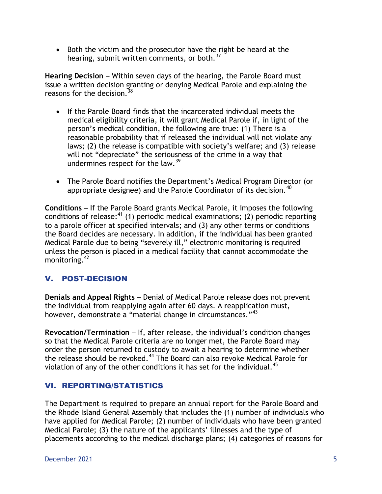Both the victim and the prosecutor have the right be heard at the hearing, submit written comments, or both.<sup>37</sup>

**Hearing Decision** – Within seven days of the hearing, the Parole Board must issue a written decision granting or denying Medical Parole and explaining the reasons for the decision.  $38$ 

- If the Parole Board finds that the incarcerated individual meets the medical eligibility criteria, it will grant Medical Parole if, in light of the person's medical condition, the following are true: (1) There is a reasonable probability that if released the individual will not violate any laws; (2) the release is compatible with society's welfare; and (3) release will not "depreciate" the seriousness of the crime in a way that undermines respect for the law.  $39$
- The Parole Board notifies the Department's Medical Program Director (or appropriate designee) and the Parole Coordinator of its decision.  $40$

**Conditions** – If the Parole Board grants Medical Parole, it imposes the following conditions of release: $41$  (1) periodic medical examinations; (2) periodic reporting to a parole officer at specified intervals; and (3) any other terms or conditions the Board decides are necessary. In addition, if the individual has been granted Medical Parole due to being "severely ill," electronic monitoring is required unless the person is placed in a medical facility that cannot accommodate the monitoring.<sup>42</sup>

## V. POST-DECISION

**Denials and Appeal Rights** – Denial of Medical Parole release does not prevent the individual from reapplying again after 60 days. A reapplication must, however, demonstrate a "material change in circumstances."<sup>43</sup>

**Revocation/Termination** – If, after release, the individual's condition changes so that the Medical Parole criteria are no longer met, the Parole Board may order the person returned to custody to await a hearing to determine whether the release should be revoked.<sup>44</sup> The Board can also revoke Medical Parole for violation of any of the other conditions it has set for the individual.<sup>45</sup>

### VI. REPORTING/STATISTICS

The Department is required to prepare an annual report for the Parole Board and the Rhode Island General Assembly that includes the (1) number of individuals who have applied for Medical Parole; (2) number of individuals who have been granted Medical Parole; (3) the nature of the applicants' illnesses and the type of placements according to the medical discharge plans; (4) categories of reasons for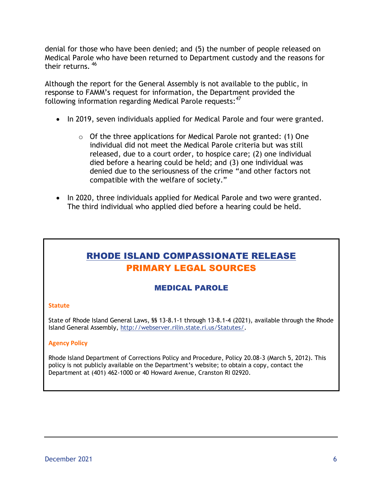denial for those who have been denied; and (5) the number of people released on Medical Parole who have been returned to Department custody and the reasons for their returns. 46

Although the report for the General Assembly is not available to the public, in response to FAMM's request for information, the Department provided the following information regarding Medical Parole requests: <sup>47</sup>

- In 2019, seven individuals applied for Medical Parole and four were granted.
	- $\circ$  Of the three applications for Medical Parole not granted: (1) One individual did not meet the Medical Parole criteria but was still released, due to a court order, to hospice care; (2) one individual died before a hearing could be held; and (3) one individual was denied due to the seriousness of the crime "and other factors not compatible with the welfare of society."
- In 2020, three individuals applied for Medical Parole and two were granted. The third individual who applied died before a hearing could be held.

## RHODE ISLAND COMPASSIONATE RELEASE PRIMARY LEGAL SOURCES

### MEDICAL PAROLE

#### **Statute**

State of Rhode Island General Laws, §§ 13-8.1-1 through 13-8.1-4 (2021), available through the Rhode Island General Assembly, [http://webserver.rilin.state.ri.us/Statutes/.](http://webserver.rilin.state.ri.us/Statutes/)

#### **Agency Policy**

Rhode Island Department of Corrections Policy and Procedure, Policy 20.08-3 (March 5, 2012). This policy is not publicly available on the Department's website; to obtain a copy, contact the Department at (401) 462-1000 or 40 Howard Avenue, Cranston RI 02920.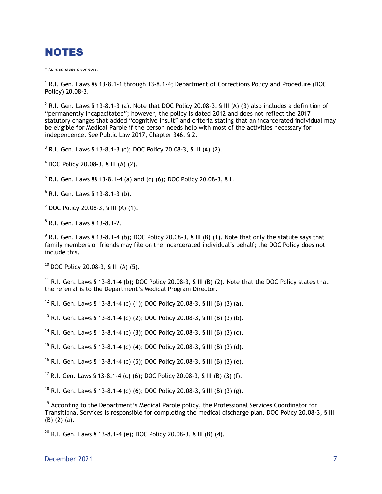# NOTES

\* *Id. means see prior note.*

<sup>1</sup> R.I. Gen. Laws §§ 13-8.1-1 through 13-8.1-4; Department of Corrections Policy and Procedure (DOC Policy) 20.08-3.

<sup>2</sup> R.I. Gen. Laws § 13-8.1-3 (a). Note that DOC Policy 20.08-3, § III (A) (3) also includes a definition of "permanently incapacitated"; however, the policy is dated 2012 and does not reflect the 2017 statutory changes that added "cognitive insult" and criteria stating that an incarcerated individual may be eligible for Medical Parole if the person needs help with most of the activities necessary for independence. See Public Law 2017, Chapter 346, § 2.

 $3$  R.I. Gen. Laws § 13-8.1-3 (c); DOC Policy 20.08-3, § III (A) (2).

 $4$  DOC Policy 20.08-3, § III (A) (2).

 $5$  R.I. Gen. Laws §§ 13-8.1-4 (a) and (c) (6); DOC Policy 20.08-3, § II.

<sup>6</sup> R.I. Gen. Laws § 13-8.1-3 (b).

 $7$  DOC Policy 20.08-3, § III (A) (1).

8 R.I. Gen. Laws § 13-8.1-2.

 $9$  R.I. Gen. Laws § 13-8.1-4 (b); DOC Policy 20.08-3, § III (B) (1). Note that only the statute says that family members or friends may file on the incarcerated individual's behalf; the DOC Policy does not include this.

 $10$  DOC Policy 20.08-3, § III (A) (5).

<sup>11</sup> R.I. Gen. Laws § 13-8.1-4 (b); DOC Policy 20.08-3, § III (B) (2). Note that the DOC Policy states that the referral is to the Department's Medical Program Director.

<sup>12</sup> R.I. Gen. Laws § 13-8.1-4 (c) (1); DOC Policy 20.08-3, § III (B) (3) (a).

<sup>13</sup> R.I. Gen. Laws § 13-8.1-4 (c) (2); DOC Policy 20.08-3, § III (B) (3) (b).

<sup>14</sup> R.I. Gen. Laws § 13-8.1-4 (c) (3); DOC Policy 20.08-3, § III (B) (3) (c).

<sup>15</sup> R.I. Gen. Laws § 13-8.1-4 (c) (4); DOC Policy 20.08-3, § III (B) (3) (d).

<sup>16</sup> R.I. Gen. Laws § 13-8.1-4 (c) (5); DOC Policy 20.08-3, § III (B) (3) (e).

<sup>17</sup> R.I. Gen. Laws § 13-8.1-4 (c) (6); DOC Policy 20.08-3, § III (B) (3) (f).

<sup>18</sup> R.I. Gen. Laws § 13-8.1-4 (c) (6); DOC Policy 20.08-3, § III (B) (3) (g).

 $19$  According to the Department's Medical Parole policy, the Professional Services Coordinator for Transitional Services is responsible for completing the medical discharge plan. DOC Policy 20.08-3, § III (B) (2) (a).

<sup>20</sup> R.I. Gen. Laws § 13-8.1-4 (e); DOC Policy 20.08-3, § III (B) (4).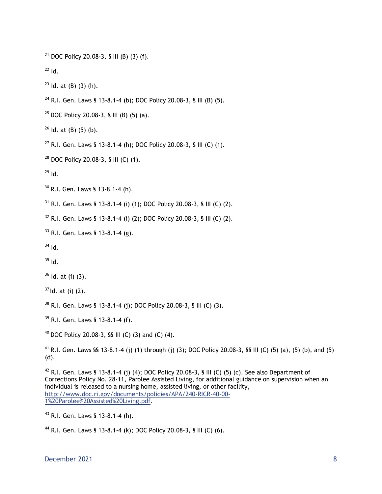<sup>21</sup> DOC Policy 20.08-3, § III (B) (3) (f).

 $22$  Id.

- $23$  ld. at (B) (3) (h).
- <sup>24</sup> R.I. Gen. Laws § 13-8.1-4 (b); DOC Policy 20.08-3, § III (B) (5).
- <sup>25</sup> DOC Policy 20.08-3, § III (B) (5) (a).
- $26$  ld. at (B) (5) (b).
- <sup>27</sup> R.I. Gen. Laws § 13-8.1-4 (h); DOC Policy 20.08-3, § III (C) (1).
- $28$  DOC Policy 20.08-3, § III (C) (1).

 $^{29}$  Id.

<sup>30</sup> R.I. Gen. Laws § 13-8.1-4 (h).

 $31$  R.I. Gen. Laws § 13-8.1-4 (i) (1); DOC Policy 20.08-3, § III (C) (2).

 $32$  R.I. Gen. Laws § 13-8.1-4 (i) (2); DOC Policy 20.08-3, § III (C) (2).

 $33$  R.I. Gen. Laws § 13-8.1-4 (g).

- $34$  Id.
- $35$  Id.

 $36$  Id. at (i) (3).

 $37$  ld. at (i) (2).

<sup>38</sup> R.I. Gen. Laws § 13-8.1-4 (j); DOC Policy 20.08-3, § III (C) (3).

<sup>39</sup> R.I. Gen. Laws § 13-8.1-4 (f).

<sup>40</sup> DOC Policy 20.08-3, **§§** III (C) (3) and (C) (4).

<sup>41</sup> R.I. Gen. Laws §§ 13-8.1-4 (j) (1) through (j) (3); DOC Policy 20.08-3, §§ III (C) (5) (a), (5) (b), and (5) (d).

<sup>42</sup> R.I. Gen. Laws § 13-8.1-4 (j) (4); DOC Policy 20.08-3, § III (C) (5) (c). See also Department of Corrections Policy No. 28-11, Parolee Assisted Living, for additional guidance on supervision when an individual is released to a nursing home, assisted living, or other facility, http://www.doc.ri.gov/documents/policies/APA/240-RICR-40-00- 1%20Parolee%20Assisted%20Living.pdf.

<sup>43</sup> R.I. Gen. Laws § 13-8.1-4 (h).

<sup>44</sup> R.I. Gen. Laws § 13-8.1-4 (k); DOC Policy 20.08-3, § III (C) (6).